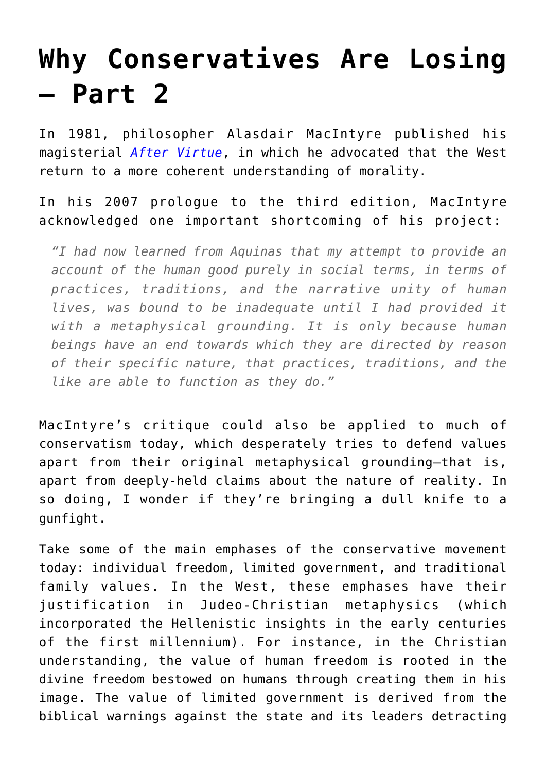## **[Why Conservatives Are Losing](https://intellectualtakeout.org/2016/06/why-conservatives-are-losing-part-2/) [– Part 2](https://intellectualtakeout.org/2016/06/why-conservatives-are-losing-part-2/)**

In 1981, philosopher Alasdair MacIntyre published his magisterial *[After Virtue](https://www.intellectualtakeout.org/blog/alasdair-macintyre%E2%80%99s-famous-comparison-between-fall-rome-and-america-today)*, in which he advocated that the West return to a more coherent understanding of morality.

In his 2007 prologue to the third edition, MacIntyre acknowledged one important shortcoming of his project:

*"I had now learned from Aquinas that my attempt to provide an account of the human good purely in social terms, in terms of practices, traditions, and the narrative unity of human lives, was bound to be inadequate until I had provided it with a metaphysical grounding. It is only because human beings have an end towards which they are directed by reason of their specific nature, that practices, traditions, and the like are able to function as they do."*

MacIntyre's critique could also be applied to much of conservatism today, which desperately tries to defend values apart from their original metaphysical grounding—that is, apart from deeply-held claims about the nature of reality. In so doing, I wonder if they're bringing a dull knife to a gunfight.

Take some of the main emphases of the conservative movement today: individual freedom, limited government, and traditional family values. In the West, these emphases have their justification in Judeo-Christian metaphysics (which incorporated the Hellenistic insights in the early centuries of the first millennium). For instance, in the Christian understanding, the value of human freedom is rooted in the divine freedom bestowed on humans through creating them in his image. The value of limited government is derived from the biblical warnings against the state and its leaders detracting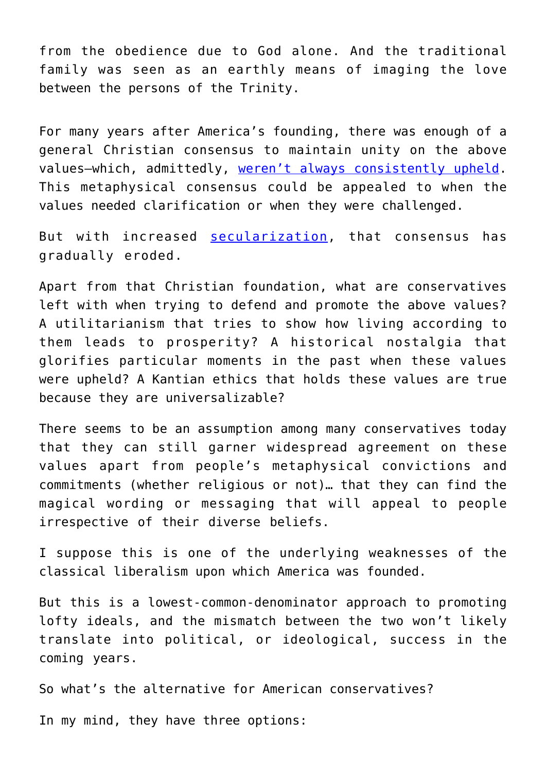from the obedience due to God alone. And the traditional family was seen as an earthly means of imaging the love between the persons of the Trinity.

For many years after America's founding, there was enough of a general Christian consensus to maintain unity on the above values—which, admittedly, [weren't always consistently upheld.](https://www.intellectualtakeout.org/blog/why-yankees-wont-and-cant-leave-south-alone) This metaphysical consensus could be appealed to when the values needed clarification or when they were challenged.

But with increased [secularization,](https://www.intellectualtakeout.org/blog/famed-historian-explains-how-civilization-collapses) that consensus has gradually eroded.

Apart from that Christian foundation, what are conservatives left with when trying to defend and promote the above values? A utilitarianism that tries to show how living according to them leads to prosperity? A historical nostalgia that glorifies particular moments in the past when these values were upheld? A Kantian ethics that holds these values are true because they are universalizable?

There seems to be an assumption among many conservatives today that they can still garner widespread agreement on these values apart from people's metaphysical convictions and commitments (whether religious or not)… that they can find the magical wording or messaging that will appeal to people irrespective of their diverse beliefs.

I suppose this is one of the underlying weaknesses of the classical liberalism upon which America was founded.

But this is a lowest-common-denominator approach to promoting lofty ideals, and the mismatch between the two won't likely translate into political, or ideological, success in the coming years.

So what's the alternative for American conservatives?

In my mind, they have three options: